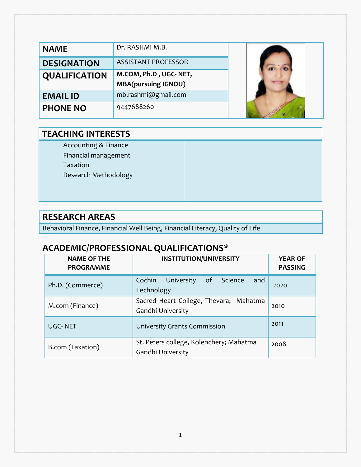| <b>NAME</b>          | Dr. RASHMI M.B.            |  |
|----------------------|----------------------------|--|
| <b>DESIGNATION</b>   | <b>ASSISTANT PROFESSOR</b> |  |
| <b>QUALIFICATION</b> | M.COM, Ph.D, UGC-NET,      |  |
|                      | <b>MBA(pursuing IGNOU)</b> |  |
| <b>EMAIL ID</b>      | mb.rashmi@gmail.com        |  |
|                      |                            |  |

#### **TEACHING INTERESTS**

Accounting & Finance

Financial management

Taxation

Research Methodology

#### **RESEARCH AREAS**

Behavioral Finance, Financial Well Being, Financial Literacy, Quality of Life

## **ACADEMIC/PROFESSIONAL QUALIFICATIONS\***

| <b>NAME OF THE</b><br><b>PROGRAMME</b> | <b>INSTITUTION/UNIVERSITY</b>                                | <b>YEAR OF</b><br><b>PASSING</b> |
|----------------------------------------|--------------------------------------------------------------|----------------------------------|
| Ph.D. (Commerce)                       | Cochin University<br>of Science<br>and<br>Technology         | 2020                             |
| M.com (Finance)                        | Sacred Heart College, Thevara; Mahatma<br>Gandhi University  | 2010                             |
| <b>UGC-NET</b>                         | University Grants Commission                                 | 2011                             |
| B.com (Taxation)                       | St. Peters college, Kolenchery; Mahatma<br>Gandhi University | 2008                             |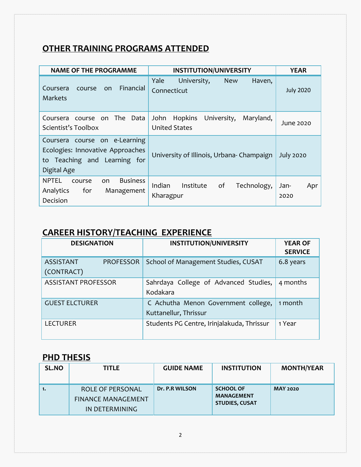## **OTHER TRAINING PROGRAMS ATTENDED**

| <b>NAME OF THE PROGRAMME</b>                                                                                        | <b>INSTITUTION/UNIVERSITY</b>                                | <b>YEAR</b>         |
|---------------------------------------------------------------------------------------------------------------------|--------------------------------------------------------------|---------------------|
| Financial<br>Coursera<br>course<br>on.<br><b>Markets</b>                                                            | Yale<br>University,<br>Haven,<br><b>New</b><br>Connecticut   | <b>July 2020</b>    |
| course on The Data<br>Coursera<br>Scientist's Toolbox                                                               | Hopkins<br>University,<br>Maryland,<br>John<br>United States | June 2020           |
| course on e-Learning<br>Coursera<br>Ecologies: Innovative Approaches<br>to Teaching and Learning for<br>Digital Age | University of Illinois, Urbana-Champaign                     | <b>July 2020</b>    |
| <b>NPTEL</b><br><b>Business</b><br>on.<br>course<br>Analytics<br>for<br>Management<br>Decision                      | Indian<br>of<br>Institute<br>Technology,<br>Kharagpur        | Jan-<br>Apr<br>2020 |

## **CAREER HISTORY/TEACHING EXPERIENCE**

| <b>DESIGNATION</b>                                 | <b>INSTITUTION/UNIVERSITY</b>                                | <b>YEAR OF</b><br><b>SERVICE</b> |
|----------------------------------------------------|--------------------------------------------------------------|----------------------------------|
| <b>ASSISTANT</b><br><b>PROFESSOR</b><br>(CONTRACT) | School of Management Studies, CUSAT                          | 6.8 years                        |
| <b>ASSISTANT PROFESSOR</b>                         | Sahrdaya College of Advanced Studies,<br>Kodakara            | 4 months                         |
| <b>GUEST ELCTURER</b>                              | C Achutha Menon Government college,<br>Kuttanellur, Thrissur | 1 month                          |
| <b>LECTURER</b>                                    | Students PG Centre, Irinjalakuda, Thrissur                   | 1 Year                           |

# **PHD THESIS**

| <b>SL.NO</b> | <b>TITLE</b>                                                    | <b>GUIDE NAME</b> | <b>INSTITUTION</b>                                             | <b>MONTH/YEAR</b> |
|--------------|-----------------------------------------------------------------|-------------------|----------------------------------------------------------------|-------------------|
| 1.           | ROLE OF PERSONAL<br><b>FINANCE MANAGEMENT</b><br>IN DETERMINING | Dr. P.R WILSON    | <b>SCHOOL OF</b><br><b>MANAGEMENT</b><br><b>STUDIES, CUSAT</b> | <b>MAY 2020</b>   |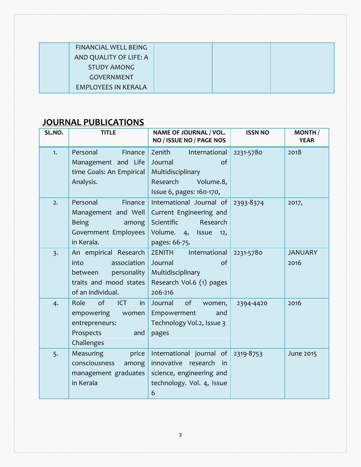| <b>FINANCIAL WELL BEING</b> |  |  |
|-----------------------------|--|--|
| AND QUALITY OF LIFE: A      |  |  |
| <b>STUDY AMONG</b>          |  |  |
| <b>GOVERNMENT</b>           |  |  |
| <b>EMPLOYEES IN KERALA</b>  |  |  |

# **JOURNAL PUBLICATIONS**

| SL.NO.           | <b>TITLE</b>                                                                                                          | NAME OF JOURNAL / VOL.<br>NO / ISSUE NO / PAGE NOS                                                                        | <b>ISSN NO</b> | <b>MONTH</b><br><b>YEAR</b> |
|------------------|-----------------------------------------------------------------------------------------------------------------------|---------------------------------------------------------------------------------------------------------------------------|----------------|-----------------------------|
| 1.               | Personal<br>Finance<br>Management and Life<br>time Goals: An Empirical<br>Analysis.                                   | Zenith<br>International<br>of<br>Journal<br>Multidisciplinary<br>Research<br>Volume.8,<br>Issue 6, pages: 160-170,        | 2231-5780      | 2018                        |
| 2.               | Personal<br>Finance<br>Management and Well<br><b>Being</b><br>among<br>Government Employees<br>in Kerala.             | International Journal of<br>Current Engineering and<br>Scientific<br>Research<br>Volume. 4, Issue<br>12.<br>pages: 66-75. | 2393-8374      | 2017,                       |
| $\overline{3}$ . | An empirical Research<br>association<br>into<br>personality<br>between<br>traits and mood states<br>of an individual. | ZENITH<br>International<br>Journal<br>of<br>Multidisciplinary<br>Research Vol.6 (1) pages<br>206-216                      | 2231-5780      | <b>JANUARY</b><br>2016      |
| 4.               | of<br>Role<br>ICT<br>in<br>empowering<br>women<br>entrepreneurs:<br>Prospects<br>and<br>Challenges                    | of<br>Journal<br>women,<br>Empowerment<br>and<br>Technology Vol.2, Issue 3<br>pages                                       | 2394-4420      | 2016                        |
| 5.               | Measuring<br>price<br>consciousness<br>among<br>management graduates<br>in Kerala                                     | International journal of<br>innovative<br>research<br>in in<br>science, engineering and<br>technology. Vol. 4, Issue<br>6 | 2319-8753      | June 2015                   |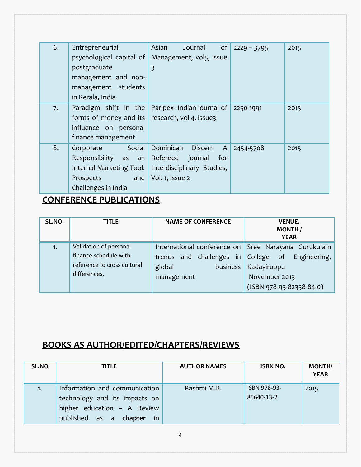| 6. | Entrepreneurial            | Asian<br>of<br>Journal               | $2229 - 3795$ | 2015 |
|----|----------------------------|--------------------------------------|---------------|------|
|    | psychological capital of   | Management, vol5, issue              |               |      |
|    | postgraduate               | $\overline{3}$                       |               |      |
|    | management and non-        |                                      |               |      |
|    | management students        |                                      |               |      |
|    | in Kerala, India           |                                      |               |      |
| 7. | Paradigm shift in the      | Paripex- Indian journal of           | 2250-1991     | 2015 |
|    | forms of money and its     | research, vol 4, issue3              |               |      |
|    | influence on personal      |                                      |               |      |
|    | finance management         |                                      |               |      |
| 8. | Social<br>Corporate        | Dominican<br>Discern<br>$\mathsf{A}$ | 2454-5708     | 2015 |
|    | Responsibility as<br>an an | Refereed<br>journal<br>for           |               |      |
|    | Internal Marketing Tool:   | Interdisciplinary Studies,           |               |      |
|    | Prospects<br>and           | Vol. 1, Issue 2                      |               |      |
|    | Challenges in India        |                                      |               |      |

# **CONFERENCE PUBLICATIONS**

| SL.NO. | <b>TITLE</b>                                                                                   | <b>NAME OF CONFERENCE</b>                                                                                                     | <b>VENUE,</b><br><b>MONTH</b><br><b>YEAR</b>                                               |
|--------|------------------------------------------------------------------------------------------------|-------------------------------------------------------------------------------------------------------------------------------|--------------------------------------------------------------------------------------------|
| 1.     | Validation of personal<br>finance schedule with<br>reference to cross cultural<br>differences, | International conference on   Sree Narayana Gurukulam<br>trends and challenges in College<br>global<br>business<br>management | Engineering,<br>$\bullet$ of<br>Kadayiruppu<br>November 2013<br>$(ISBN 978-93-82338-84-0)$ |

# **BOOKS AS AUTHOR/EDITED/CHAPTERS/REVIEWS**

| SL.NO | <b>TITLE</b>                                                                                                                   | <b>AUTHOR NAMES</b> | <b>ISBN NO.</b>            | <b>MONTH/</b><br><b>YEAR</b> |
|-------|--------------------------------------------------------------------------------------------------------------------------------|---------------------|----------------------------|------------------------------|
| 1.    | Information and communication<br>technology and its impacts on<br>higher education - A Review<br>published as a chapter<br>-in | Rashmi M.B.         | ISBN 978-93-<br>85640-13-2 | 2015                         |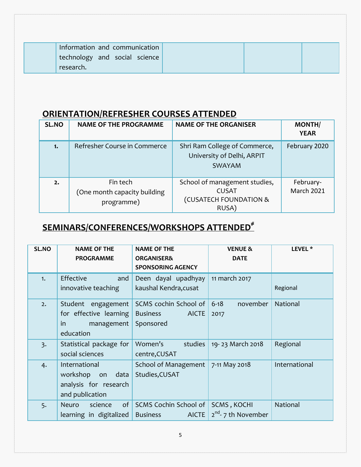| Information and communication |  |  |
|-------------------------------|--|--|
| technology and social science |  |  |
| research.                     |  |  |

# **ORIENTATION/REFRESHER COURSES ATTENDED**

| SL.NO | <b>NAME OF THE PROGRAMME</b>                           | <b>NAME OF THE ORGANISER</b>                                                     | <b>MONTH/</b><br><b>YEAR</b>   |
|-------|--------------------------------------------------------|----------------------------------------------------------------------------------|--------------------------------|
| 1.    | Refresher Course in Commerce                           | Shri Ram College of Commerce,<br>University of Delhi, ARPIT<br>SWAYAM            | February 2020                  |
| 2.    | Fin tech<br>(One month capacity building<br>programme) | School of management studies,<br><b>CUSAT</b><br>(CUSATECH FOUNDATION &<br>RUSA) | February-<br><b>March 2021</b> |

# **SEMINARS/CONFERENCES/WORKSHOPS ATTENDED#**

| SL.NO            | <b>NAME OF THE</b><br><b>PROGRAMME</b>                                           | <b>NAME OF THE</b><br><b>ORGANISER&amp;</b><br><b>SPONSORING AGENCY</b> | <b>VENUE &amp;</b><br><b>DATE</b>       | LEVEL <sup>*</sup> |
|------------------|----------------------------------------------------------------------------------|-------------------------------------------------------------------------|-----------------------------------------|--------------------|
| 1.               | Effective<br>and<br>innovative teaching                                          | Deen dayal upadhyay<br>kaushal Kendra, cusat                            | 11 march 2017                           | Regional           |
| 2.               | Student engagement<br>for effective learning<br>in<br>management<br>education    | SCMS cochin School of<br><b>Business</b><br><b>AICTE</b><br>Sponsored   | $6 - 18$<br>november<br>2017            | National           |
| $\overline{3}$ . | Statistical package for<br>social sciences                                       | Women's<br>studies<br>centre, CUSAT                                     | 19-23 March 2018                        | Regional           |
| 4.               | International<br>workshop on<br>data<br>analysis for research<br>and publication | School of Management<br>Studies, CUSAT                                  | 7-11 May 2018                           | International      |
| 5.               | of<br>Neuro<br>science<br>learning in digitalized                                | SCMS Cochin School of<br><b>Business</b><br><b>AICTE</b>                | SCMS, KOCHI<br>$2^{nd}$ - 7 th November | National           |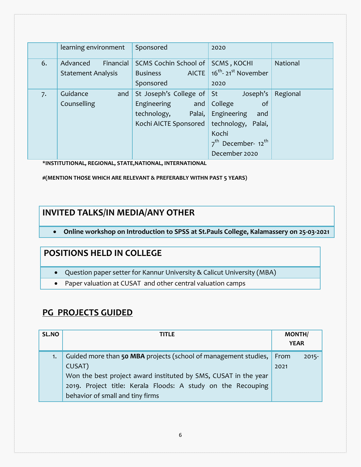|    | learning environment                               | Sponsored                                                                                             | 2020                                                                                                                                          |                 |
|----|----------------------------------------------------|-------------------------------------------------------------------------------------------------------|-----------------------------------------------------------------------------------------------------------------------------------------------|-----------------|
| 6. | Advanced<br>Financial<br><b>Statement Analysis</b> | SCMS Cochin School of<br>AICTE<br><b>Business</b><br>Sponsored                                        | SCMS, KOCHI<br>16 <sup>th</sup> -21 <sup>st</sup> November<br>2020                                                                            | <b>National</b> |
| 7. | Guidance<br>and<br>Counselling                     | St Joseph's College of St<br>Engineering<br>and $ $<br>Palai,<br>technology,<br>Kochi AICTE Sponsored | Joseph's<br>College<br>of<br>Engineering<br>and<br>technology, Palai,<br>Kochi<br>7 <sup>th</sup> December- 12 <sup>th</sup><br>December 2020 | Regional        |

**\*INSTITUTIONAL, REGIONAL, STATE,NATIONAL, INTERNATIONAL**

**#(MENTION THOSE WHICH ARE RELEVANT & PREFERABLY WITHN PAST 5 YEARS)**

## **INVITED TALKS/IN MEDIA/ANY OTHER**

**Online workshop on Introduction to SPSS at St.Pauls College, Kalamassery on 25-03-2021**

#### **POSITIONS HELD IN COLLEGE**

- Question paper setter for Kannur University & Calicut University (MBA)
- Paper valuation at CUSAT and other central valuation camps

#### **PG PROJECTS GUIDED**

| SL.NO | TITLE                                                                                                                                                                                                                                            | <b>MONTH/</b><br><b>YEAR</b> |          |
|-------|--------------------------------------------------------------------------------------------------------------------------------------------------------------------------------------------------------------------------------------------------|------------------------------|----------|
| 1.    | Guided more than 50 MBA projects (school of management studies,<br>CUSAT)<br>Won the best project award instituted by SMS, CUSAT in the year<br>2019. Project title: Kerala Floods: A study on the Recouping<br>behavior of small and tiny firms | From<br>2021                 | $2015 -$ |